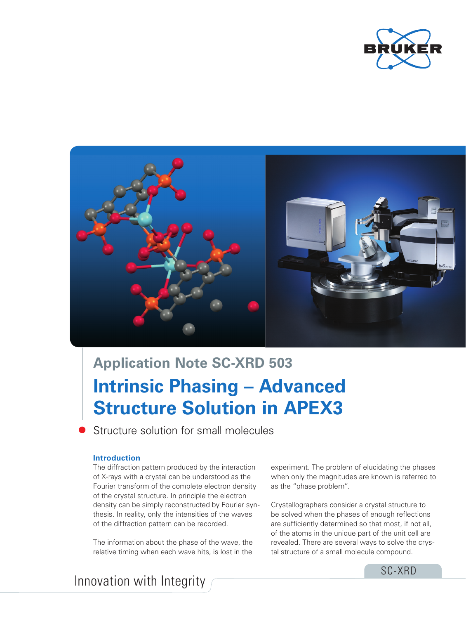



# **Intrinsic Phasing – Advanced Structure Solution in APEX3 Application Note SC-XRD 503**

Structure solution for small molecules

# **Introduction**

The diffraction pattern produced by the interaction of X-rays with a crystal can be understood as the Fourier transform of the complete electron density of the crystal structure. In principle the electron density can be simply reconstructed by Fourier synthesis. In reality, only the intensities of the waves of the diffraction pattern can be recorded.

The information about the phase of the wave, the relative timing when each wave hits, is lost in the

experiment. The problem of elucidating the phases when only the magnitudes are known is referred to as the "phase problem".

Crystallographers consider a crystal structure to be solved when the phases of enough reflections are sufficiently determined so that most, if not all, of the atoms in the unique part of the unit cell are revealed. There are several ways to solve the crystal structure of a small molecule compound.

# Innovation with Integrity

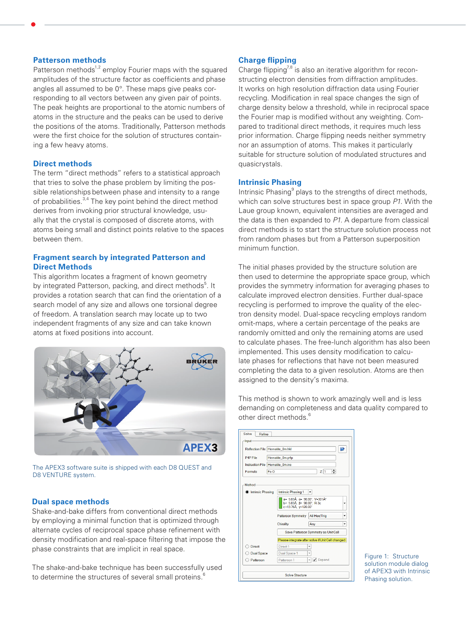# **Patterson methods**

Patterson methods<sup>1,2</sup> employ Fourier maps with the squared amplitudes of the structure factor as coefficients and phase angles all assumed to be 0°. These maps give peaks corresponding to all vectors between any given pair of points. The peak heights are proportional to the atomic numbers of atoms in the structure and the peaks can be used to derive the positions of the atoms. Traditionally, Patterson methods were the first choice for the solution of structures containing a few heavy atoms.

# **Direct methods**

The term "direct methods" refers to a statistical approach that tries to solve the phase problem by limiting the possible relationships between phase and intensity to a range of probabilities.<sup>3,4</sup> The key point behind the direct method derives from invoking prior structural knowledge, usually that the crystal is composed of discrete atoms, with atoms being small and distinct points relative to the spaces between them.

#### **Fragment search by integrated Patterson and Direct Methods**

This algorithm locates a fragment of known geometry by integrated Patterson, packing, and direct methods<sup>5</sup>. It provides a rotation search that can find the orientation of a search model of any size and allows one torsional degree of freedom. A translation search may locate up to two independent fragments of any size and can take known atoms at fixed positions into account.



The APEX3 software suite is shipped with each D8 QUEST and D8 VENTURE system.

# **Dual space methods**

Shake-and-bake differs from conventional direct methods by employing a minimal function that is optimized through alternate cycles of reciprocal space phase refinement with density modification and real-space filtering that impose the phase constraints that are implicit in real space.

The shake-and-bake technique has been successfully used to determine the structures of several small proteins.<sup>6</sup>

# **Charge flipping**

Charge flipping<sup>7,8</sup> is also an iterative algorithm for reconstructing electron densities from diffraction amplitudes. It works on high resolution diffraction data using Fourier recycling. Modification in real space changes the sign of charge density below a threshold, while in reciprocal space the Fourier map is modified without any weighting. Compared to traditional direct methods, it requires much less prior information. Charge flipping needs neither symmetry nor an assumption of atoms. This makes it particularly suitable for structure solution of modulated structures and quasicrystals.

#### **Intrinsic Phasing**

Intrinsic Phasing<sup>9</sup> plays to the strengths of direct methods, which can solve structures best in space group *P1*. With the Laue group known, equivalent intensities are averaged and the data is then expanded to *P1*. A departure from classical direct methods is to start the structure solution process not from random phases but from a Patterson superposition minimum function.

The initial phases provided by the structure solution are then used to determine the appropriate space group, which provides the symmetry information for averaging phases to calculate improved electron densities. Further dual-space recycling is performed to improve the quality of the electron density model. Dual-space recycling employs random omit-maps, where a certain percentage of the peaks are randomly omitted and only the remaining atoms are used to calculate phases. The free-lunch algorithm has also been implemented. This uses density modification to calculate phases for reflections that have not been measured completing the data to a given resolution. Atoms are then assigned to the density's maxima.

This method is shown to work amazingly well and is less demanding on completeness and data quality compared to other direct methods.<sup>6</sup>

|                                  | Reflection File Hematite_0m.hkl                                                                                               |                                                    |        |
|----------------------------------|-------------------------------------------------------------------------------------------------------------------------------|----------------------------------------------------|--------|
|                                  |                                                                                                                               |                                                    |        |
| P4P File                         | Hematite 0m.p4p                                                                                                               |                                                    |        |
| Instruction File Hematite_0m.ins |                                                                                                                               |                                                    |        |
| Fe O<br>Formula                  | $\div$<br>2 1                                                                                                                 |                                                    |        |
|                                  | a= 5.03Å a= 90.00°. V=301Å <sup>®</sup><br>$b = 5.03$ Å, $\beta = 90.00$ °, R-3c<br>c=13.76Å, y=120.00°<br>Patterson Symmetry | All Hex/Tria                                       | ٠<br>٠ |
|                                  | Chirality                                                                                                                     | Any                                                | ٠      |
|                                  |                                                                                                                               | Save Patterson Symmetry as Unit Cell               |        |
|                                  |                                                                                                                               | Please integrate after solve if Unit Cell changed. |        |
| Direct                           | Direct 1                                                                                                                      | v                                                  |        |
| <b>Dual Space</b>                | Dual Space 1                                                                                                                  | ÷                                                  |        |
|                                  |                                                                                                                               |                                                    |        |

Figure 1: Structure solution module dialog of APEX3 with Intrinsic Phasing solution.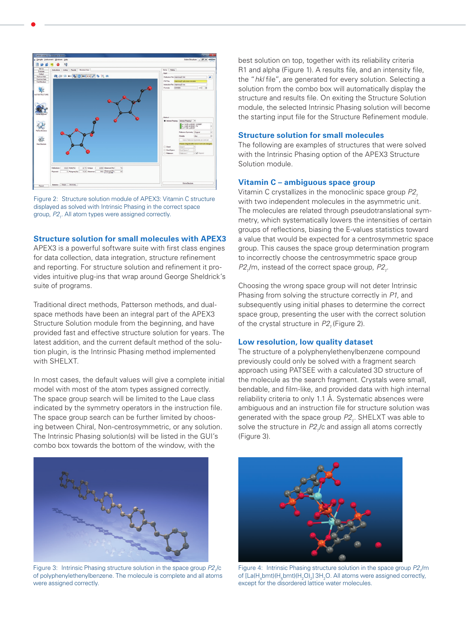

Figure 2: Structure solution module of APEX3: Vitamin C structure displayed as solved with Intrinsic Phasing in the correct space group,  $P2<sub>i</sub>$ . All atom types were assigned correctly.

# **Structure solution for small molecules with APEX3**

APEX3 is a powerful software suite with first class engines for data collection, data integration, structure refinement and reporting. For structure solution and refinement it provides intuitive plug-ins that wrap around George Sheldrick's suite of programs.

Traditional direct methods, Patterson methods, and dualspace methods have been an integral part of the APEX3 Structure Solution module from the beginning, and have provided fast and effective structure solution for years. The latest addition, and the current default method of the solution plugin, is the Intrinsic Phasing method implemented with SHELXT.

In most cases, the default values will give a complete initial model with most of the atom types assigned correctly. The space group search will be limited to the Laue class indicated by the symmetry operators in the instruction file. The space group search can be further limited by choosing between Chiral, Non-centrosymmetric, or any solution. The Intrinsic Phasing solution(s) will be listed in the GUI's combo box towards the bottom of the window, with the



Figure 3: Intrinsic Phasing structure solution in the space group P2,/c of polyphenylethenylbenzene. The molecule is complete and all atoms were assigned correctly.

best solution on top, together with its reliability criteria R1 and alpha (Figure 1). A results file, and an intensity file, the "*hkl* file", are generated for every solution. Selecting a solution from the combo box will automatically display the structure and results file. On exiting the Structure Solution module, the selected Intrinsic Phasing solution will become the starting input file for the Structure Refinement module.

#### **Structure solution for small molecules**

The following are examples of structures that were solved with the Intrinsic Phasing option of the APEX3 Structure Solution module.

#### **Vitamin C – ambiguous space group**

Vitamin C crystallizes in the monoclinic space group  $P2<sub>1</sub>$ with two independent molecules in the asymmetric unit. The molecules are related through pseudotranslational symmetry, which systematically lowers the intensities of certain groups of reflections, biasing the E-values statistics toward a value that would be expected for a centrosymmetric space group. This causes the space group determination program to incorrectly choose the centrosymmetric space group  $P2<sub>1</sub>/m$ , instead of the correct space group,  $P2<sub>1</sub>$ .

Choosing the wrong space group will not deter Intrinsic Phasing from solving the structure correctly in *P1*, and subsequently using initial phases to determine the correct space group, presenting the user with the correct solution of the crystal structure in  $P2$ , (Figure 2).

#### **Low resolution, low quality dataset**

The structure of a polyphenylethenylbenzene compound previously could only be solved with a fragment search approach using PATSEE with a calculated 3D structure of the molecule as the search fragment. Crystals were small, bendable, and film-like, and provided data with high internal reliability criteria to only 1.1 Å. Systematic absences were ambiguous and an instruction file for structure solution was generated with the space group P2<sub>1</sub>. SHELXT was able to solve the structure in  $P2<sub>1</sub>/c$  and assign all atoms correctly (Figure 3).



Figure 4: Intrinsic Phasing structure solution in the space group P2,/m of [La(H<sub>4</sub>bmt)(H<sub>5</sub>bmt)(H<sub>2</sub>O)<sub>2</sub>] 3H<sub>2</sub>O. All atoms were assigned correctly, except for the disordered lattice water molecules.